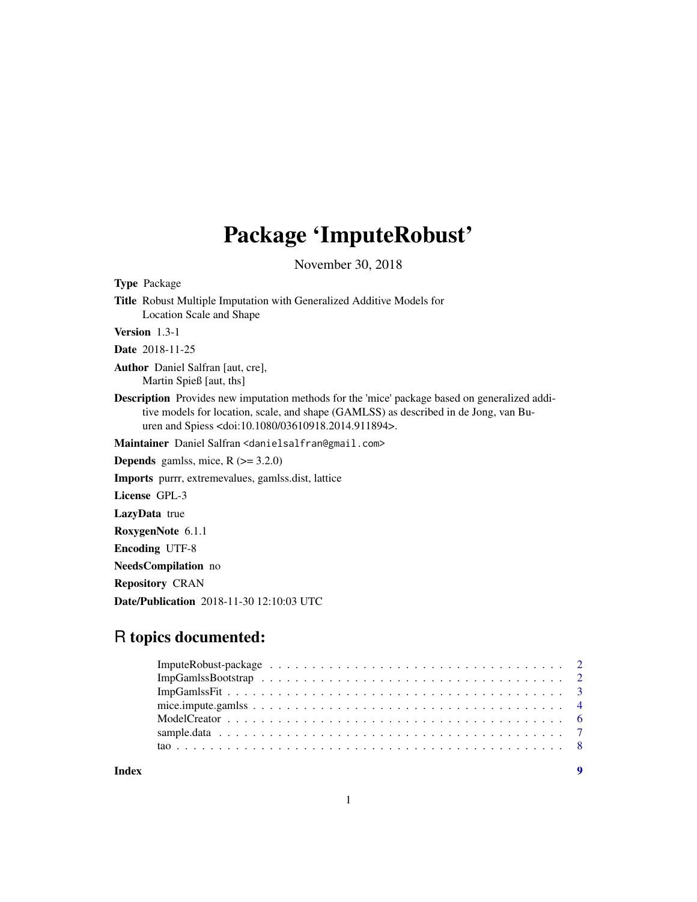## Package 'ImputeRobust'

November 30, 2018

Type Package

Title Robust Multiple Imputation with Generalized Additive Models for Location Scale and Shape

Version 1.3-1

Date 2018-11-25

Author Daniel Salfran [aut, cre], Martin Spieß [aut, ths]

Description Provides new imputation methods for the 'mice' package based on generalized additive models for location, scale, and shape (GAMLSS) as described in de Jong, van Buuren and Spiess <doi:10.1080/03610918.2014.911894>.

Maintainer Daniel Salfran <danielsalfran@gmail.com>

**Depends** gamlss, mice,  $R$  ( $>= 3.2.0$ )

Imports purrr, extremevalues, gamlss.dist, lattice

License GPL-3

LazyData true

RoxygenNote 6.1.1

Encoding UTF-8

NeedsCompilation no

Repository CRAN

Date/Publication 2018-11-30 12:10:03 UTC

### R topics documented:

#### **Index** [9](#page-8-0)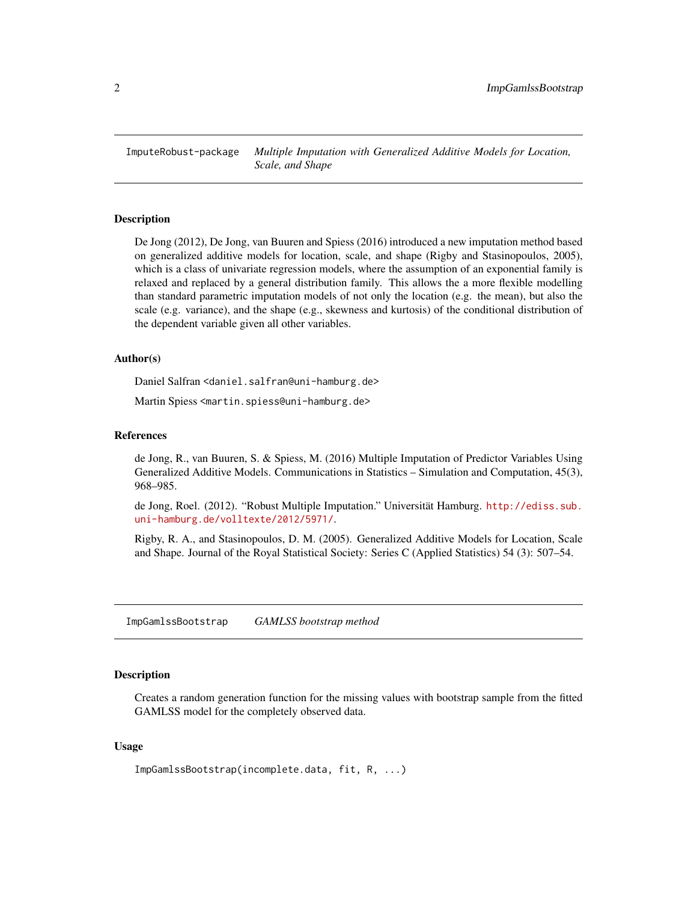<span id="page-1-0"></span>ImputeRobust-package *Multiple Imputation with Generalized Additive Models for Location, Scale, and Shape*

#### Description

De Jong (2012), De Jong, van Buuren and Spiess (2016) introduced a new imputation method based on generalized additive models for location, scale, and shape (Rigby and Stasinopoulos, 2005), which is a class of univariate regression models, where the assumption of an exponential family is relaxed and replaced by a general distribution family. This allows the a more flexible modelling than standard parametric imputation models of not only the location (e.g. the mean), but also the scale (e.g. variance), and the shape (e.g., skewness and kurtosis) of the conditional distribution of the dependent variable given all other variables.

#### Author(s)

Daniel Salfran <daniel.salfran@uni-hamburg.de>

Martin Spiess <martin.spiess@uni-hamburg.de>

#### References

de Jong, R., van Buuren, S. & Spiess, M. (2016) Multiple Imputation of Predictor Variables Using Generalized Additive Models. Communications in Statistics – Simulation and Computation, 45(3), 968–985.

de Jong, Roel. (2012). "Robust Multiple Imputation." Universität Hamburg. [http://ediss.sub.](http://ediss.sub.uni-hamburg.de/volltexte/2012/5971/) [uni-hamburg.de/volltexte/2012/5971/](http://ediss.sub.uni-hamburg.de/volltexte/2012/5971/).

Rigby, R. A., and Stasinopoulos, D. M. (2005). Generalized Additive Models for Location, Scale and Shape. Journal of the Royal Statistical Society: Series C (Applied Statistics) 54 (3): 507–54.

ImpGamlssBootstrap *GAMLSS bootstrap method*

#### Description

Creates a random generation function for the missing values with bootstrap sample from the fitted GAMLSS model for the completely observed data.

#### Usage

ImpGamlssBootstrap(incomplete.data, fit, R, ...)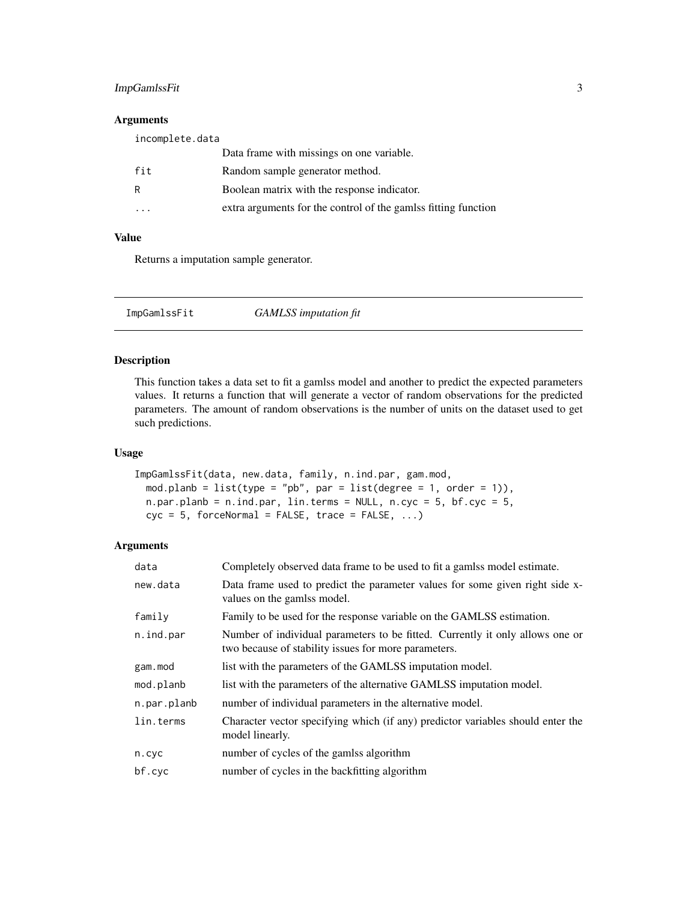#### <span id="page-2-0"></span>ImpGamlssFit 3

#### Arguments

| incomplete.data |                                                               |
|-----------------|---------------------------------------------------------------|
|                 | Data frame with missings on one variable.                     |
| fit             | Random sample generator method.                               |
| R               | Boolean matrix with the response indicator.                   |
|                 | extra arguments for the control of the gamls fitting function |

#### Value

Returns a imputation sample generator.

ImpGamlssFit *GAMLSS imputation fit*

#### Description

This function takes a data set to fit a gamlss model and another to predict the expected parameters values. It returns a function that will generate a vector of random observations for the predicted parameters. The amount of random observations is the number of units on the dataset used to get such predictions.

#### Usage

```
ImpGamlssFit(data, new.data, family, n.ind.par, gam.mod,
 mod.planb = list(type = "pb", par = list(degree = 1, order = 1)),
 n.par.planb = n.ind.par, lin.terms = NULL, n.cyc = 5, bf.cyc = 5,cyc = 5, forceNormal = FALSE, trace = FALSE, ...)
```
#### Arguments

| data        | Completely observed data frame to be used to fit a gamls model estimate.                                                              |
|-------------|---------------------------------------------------------------------------------------------------------------------------------------|
| new.data    | Data frame used to predict the parameter values for some given right side x-<br>values on the gamls model.                            |
| family      | Family to be used for the response variable on the GAMLSS estimation.                                                                 |
| n.ind.par   | Number of individual parameters to be fitted. Currently it only allows one or<br>two because of stability issues for more parameters. |
| gam.mod     | list with the parameters of the GAMLSS imputation model.                                                                              |
| mod.planb   | list with the parameters of the alternative GAMLSS imputation model.                                                                  |
| n.par.planb | number of individual parameters in the alternative model.                                                                             |
| lin.terms   | Character vector specifying which (if any) predictor variables should enter the<br>model linearly.                                    |
| n.cyc       | number of cycles of the gamlss algorithm                                                                                              |
| bf.cyc      | number of cycles in the backfitting algorithm                                                                                         |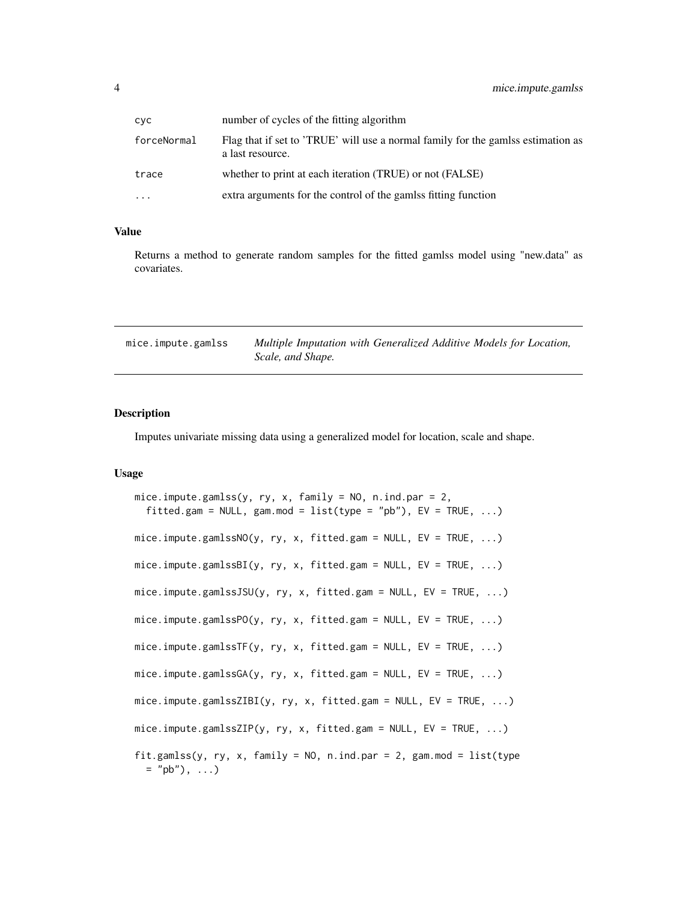<span id="page-3-0"></span>

| сус         | number of cycles of the fitting algorithm                                                            |
|-------------|------------------------------------------------------------------------------------------------------|
| forceNormal | Flag that if set to 'TRUE' will use a normal family for the gamlss estimation as<br>a last resource. |
| trace       | whether to print at each iteration (TRUE) or not (FALSE)                                             |
| $\ddotsc$   | extra arguments for the control of the gamls fitting function                                        |

#### Value

Returns a method to generate random samples for the fitted gamlss model using "new.data" as covariates.

| mice.impute.gamlss | Multiple Imputation with Generalized Additive Models for Location, |  |  |
|--------------------|--------------------------------------------------------------------|--|--|
|                    | Scale, and Shape.                                                  |  |  |

#### Description

Imputes univariate missing data using a generalized model for location, scale and shape.

#### Usage

```
mice.impute.gamlss(y, ry, x, family = NO, n.ind.par = 2,
  fitted.gam = NULL, gam.mod = list(type = "pb"), EV = TRUE, ...mice. impute.gamlssNO(y, ry, x, fitted.gam = NULL, EV = TRUE, \ldots)
mice.impute.gamlssBI(y, ry, x, fitted.gam = NULL, EV = TRUE, ...)
mice.impute.gamlssJSU(y, ry, x, fitted.gam = NULL, EV = TRUE, ...)
mice.impute.gamlssPO(y, ry, x, fitted.gam = NULL, EV = TRUE, ...)
mice.impute.gamlssTF(y, ry, x, fitted.gam = NULL, EV = TRUE, ...)
mice. impute.gamlssGA(y, ry, x, fitted.gam = NULL, EV = TRUE, \ldots)
mice.impute.gamlssZIBI(y, ry, x, fitted.gam = NULL, EV = TRUE, ...)
mice.impute.gamlssZIP(y, ry, x, fitted.gam = NULL, EV = TRUE, ...)
fit.gamlss(y, ry, x, family = NO, n.ind.par = 2, gam.mod = list(type
  = "pb"), ...)
```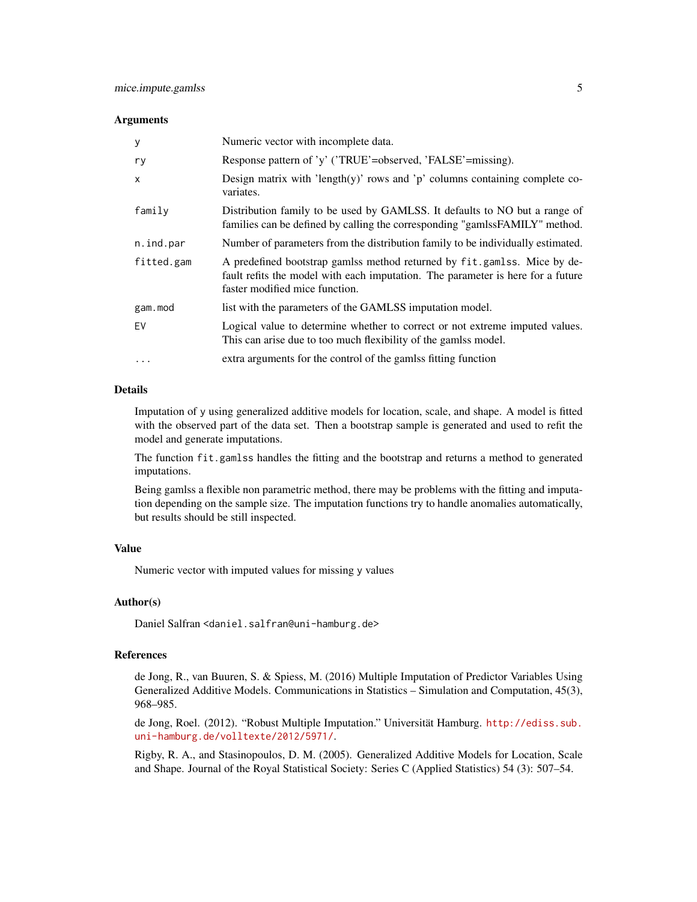#### **Arguments**

| У            | Numeric vector with incomplete data.                                                                                                                                                          |
|--------------|-----------------------------------------------------------------------------------------------------------------------------------------------------------------------------------------------|
| ry           | Response pattern of 'y' ('TRUE'=observed, 'FALSE'=missing).                                                                                                                                   |
| $\mathsf{x}$ | Design matrix with 'length(y)' rows and ' $p$ ' columns containing complete co-<br>variates.                                                                                                  |
| family       | Distribution family to be used by GAMLSS. It defaults to NO but a range of<br>families can be defined by calling the corresponding "gamlssFAMILY" method.                                     |
| n.ind.par    | Number of parameters from the distribution family to be individually estimated.                                                                                                               |
| fitted.gam   | A predefined bootstrap gamlss method returned by fit.gamlss. Mice by de-<br>fault refits the model with each imputation. The parameter is here for a future<br>faster modified mice function. |
| gam.mod      | list with the parameters of the GAMLSS imputation model.                                                                                                                                      |
| EV           | Logical value to determine whether to correct or not extreme imputed values.<br>This can arise due to too much flexibility of the gamlss model.                                               |
| $\cdot$      | extra arguments for the control of the gamlss fitting function                                                                                                                                |

#### Details

Imputation of y using generalized additive models for location, scale, and shape. A model is fitted with the observed part of the data set. Then a bootstrap sample is generated and used to refit the model and generate imputations.

The function fit.gamlss handles the fitting and the bootstrap and returns a method to generated imputations.

Being gamlss a flexible non parametric method, there may be problems with the fitting and imputation depending on the sample size. The imputation functions try to handle anomalies automatically, but results should be still inspected.

#### Value

Numeric vector with imputed values for missing y values

#### Author(s)

Daniel Salfran <daniel.salfran@uni-hamburg.de>

#### References

de Jong, R., van Buuren, S. & Spiess, M. (2016) Multiple Imputation of Predictor Variables Using Generalized Additive Models. Communications in Statistics – Simulation and Computation, 45(3), 968–985.

de Jong, Roel. (2012). "Robust Multiple Imputation." Universität Hamburg. [http://ediss.sub.](http://ediss.sub.uni-hamburg.de/volltexte/2012/5971/) [uni-hamburg.de/volltexte/2012/5971/](http://ediss.sub.uni-hamburg.de/volltexte/2012/5971/).

Rigby, R. A., and Stasinopoulos, D. M. (2005). Generalized Additive Models for Location, Scale and Shape. Journal of the Royal Statistical Society: Series C (Applied Statistics) 54 (3): 507–54.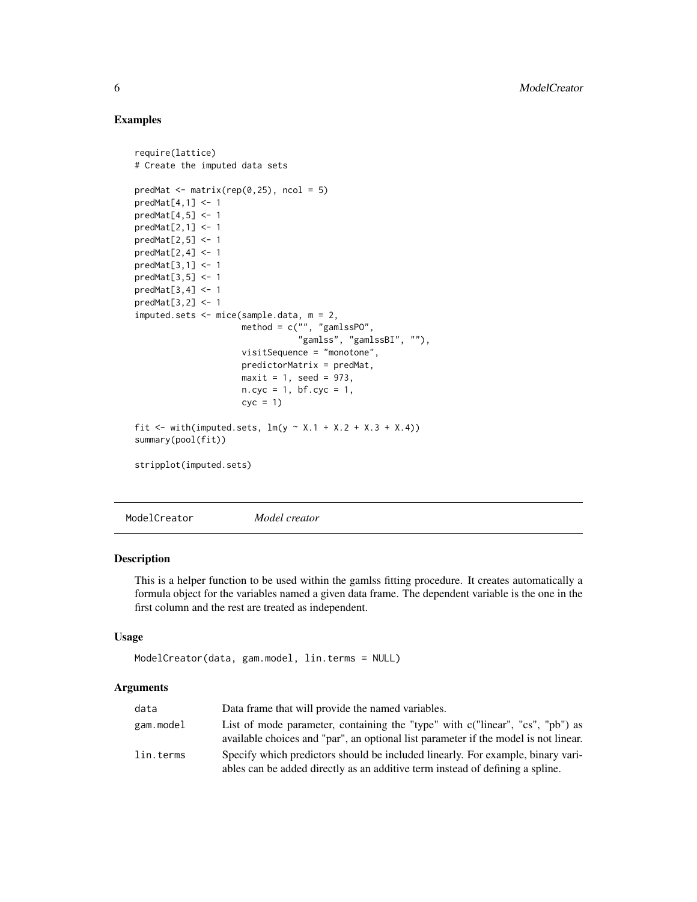#### Examples

```
require(lattice)
# Create the imputed data sets
predMat \leq matrix(rep(0,25), ncol = 5)
predMat[4,1] <- 1
predMat[4,5] <- 1
predMat[2,1] <- 1
predMat[2,5] <- 1
predMat[2,4] <- 1
predMat[3,1] <- 1
predMat[3,5] <- 1
predMat[3,4] <- 1
predMat[3,2] <- 1
imputed.sets <- mice(sample.data, m = 2,
                     method = c("", "gamlssPO","gamlss", "gamlssBI", ""),
                     visitSequence = "monotone",
                     predictorMatrix = predMat,
                     maxit = 1, seed = 973,
                     n.cyc = 1, bf.cyc = 1,
                     cyc = 1fit <- with(imputed.sets, lm(y \sim X.1 + X.2 + X.3 + X.4))
summary(pool(fit))
stripplot(imputed.sets)
```
ModelCreator *Model creator*

#### Description

This is a helper function to be used within the gamlss fitting procedure. It creates automatically a formula object for the variables named a given data frame. The dependent variable is the one in the first column and the rest are treated as independent.

#### Usage

```
ModelCreator(data, gam.model, lin.terms = NULL)
```
#### Arguments

| data      | Data frame that will provide the named variables.                                                                                                                    |
|-----------|----------------------------------------------------------------------------------------------------------------------------------------------------------------------|
| gam.model | List of mode parameter, containing the "type" with c("linear", "cs", "pb") as<br>available choices and "par", an optional list parameter if the model is not linear. |
| lin.terms | Specify which predictors should be included linearly. For example, binary vari-<br>ables can be added directly as an additive term instead of defining a spline.     |

<span id="page-5-0"></span>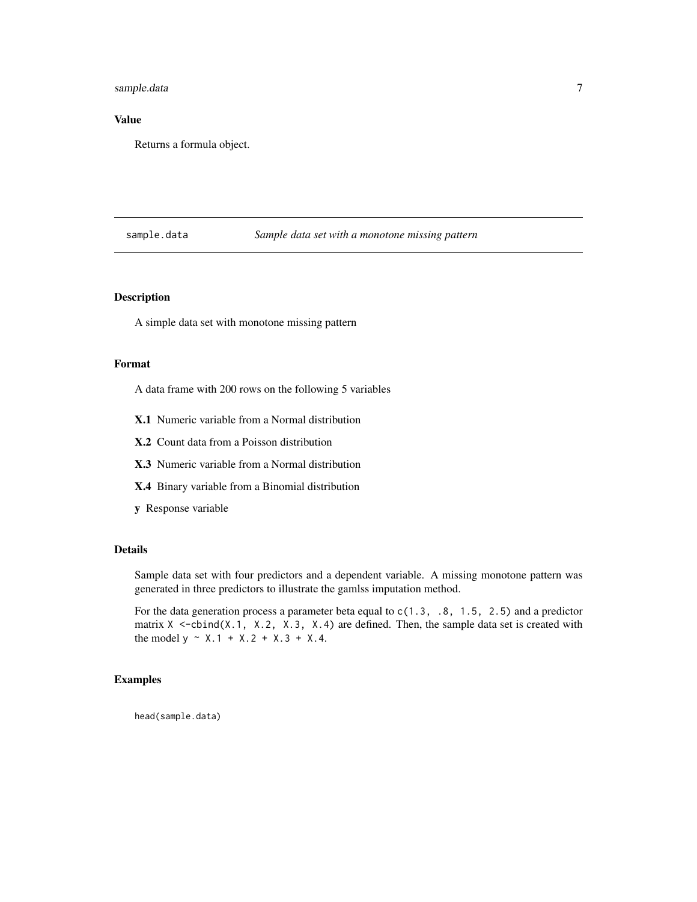#### <span id="page-6-0"></span>sample.data 7

#### Value

Returns a formula object.

#### sample.data *Sample data set with a monotone missing pattern*

#### Description

A simple data set with monotone missing pattern

#### Format

A data frame with 200 rows on the following 5 variables

- X.1 Numeric variable from a Normal distribution
- X.2 Count data from a Poisson distribution
- X.3 Numeric variable from a Normal distribution
- X.4 Binary variable from a Binomial distribution
- y Response variable

#### Details

Sample data set with four predictors and a dependent variable. A missing monotone pattern was generated in three predictors to illustrate the gamlss imputation method.

For the data generation process a parameter beta equal to  $c(1.3, .8, 1.5, 2.5)$  and a predictor matrix  $X \leq$ -cbind(X.1, X.2, X.3, X.4) are defined. Then, the sample data set is created with the model  $y \sim X.1 + X.2 + X.3 + X.4$ .

#### Examples

head(sample.data)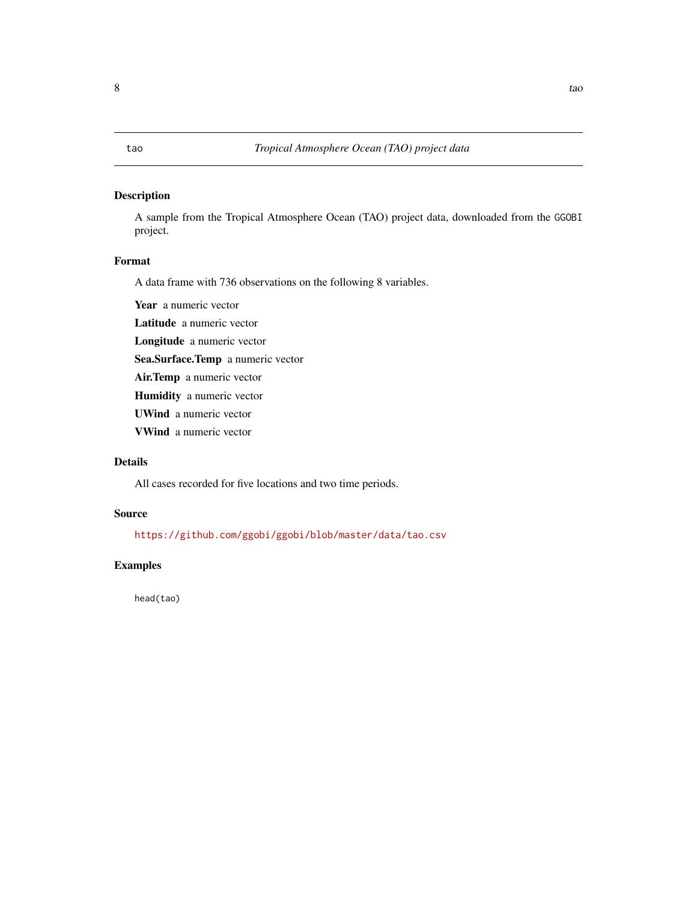#### <span id="page-7-0"></span>Description

A sample from the Tropical Atmosphere Ocean (TAO) project data, downloaded from the GGOBI project.

#### Format

A data frame with 736 observations on the following 8 variables.

Year a numeric vector

Latitude a numeric vector

Longitude a numeric vector

Sea.Surface.Temp a numeric vector

Air.Temp a numeric vector

Humidity a numeric vector

UWind a numeric vector

VWind a numeric vector

#### Details

All cases recorded for five locations and two time periods.

#### Source

<https://github.com/ggobi/ggobi/blob/master/data/tao.csv>

#### Examples

head(tao)